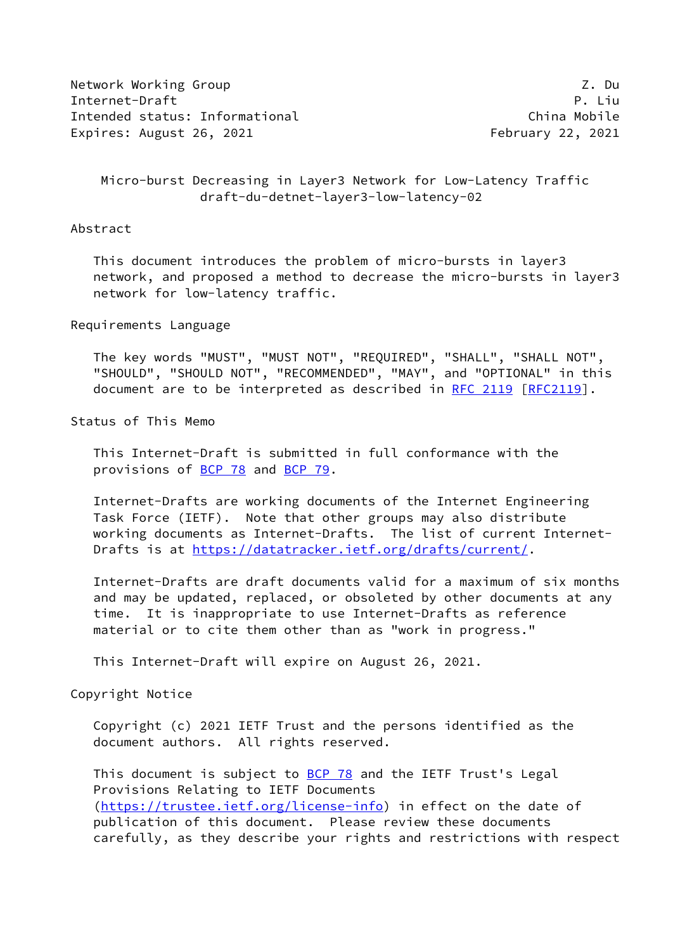Network Working Group 2. The Second Second Second Second Second Second Second Second Second Second Second Second Second Second Second Second Second Second Second Second Second Second Second Second Second Second Second Seco Internet-Draft P. Liu Intended status: Informational China Mobile Expires: August 26, 2021 **February 22, 2021** 

## Micro-burst Decreasing in Layer3 Network for Low-Latency Traffic draft-du-detnet-layer3-low-latency-02

## Abstract

 This document introduces the problem of micro-bursts in layer3 network, and proposed a method to decrease the micro-bursts in layer3 network for low-latency traffic.

Requirements Language

 The key words "MUST", "MUST NOT", "REQUIRED", "SHALL", "SHALL NOT", "SHOULD", "SHOULD NOT", "RECOMMENDED", "MAY", and "OPTIONAL" in this document are to be interpreted as described in [RFC 2119 \[RFC2119](https://datatracker.ietf.org/doc/pdf/rfc2119)].

Status of This Memo

 This Internet-Draft is submitted in full conformance with the provisions of [BCP 78](https://datatracker.ietf.org/doc/pdf/bcp78) and [BCP 79](https://datatracker.ietf.org/doc/pdf/bcp79).

 Internet-Drafts are working documents of the Internet Engineering Task Force (IETF). Note that other groups may also distribute working documents as Internet-Drafts. The list of current Internet- Drafts is at<https://datatracker.ietf.org/drafts/current/>.

 Internet-Drafts are draft documents valid for a maximum of six months and may be updated, replaced, or obsoleted by other documents at any time. It is inappropriate to use Internet-Drafts as reference material or to cite them other than as "work in progress."

This Internet-Draft will expire on August 26, 2021.

Copyright Notice

 Copyright (c) 2021 IETF Trust and the persons identified as the document authors. All rights reserved.

This document is subject to **[BCP 78](https://datatracker.ietf.org/doc/pdf/bcp78)** and the IETF Trust's Legal Provisions Relating to IETF Documents [\(https://trustee.ietf.org/license-info](https://trustee.ietf.org/license-info)) in effect on the date of publication of this document. Please review these documents carefully, as they describe your rights and restrictions with respect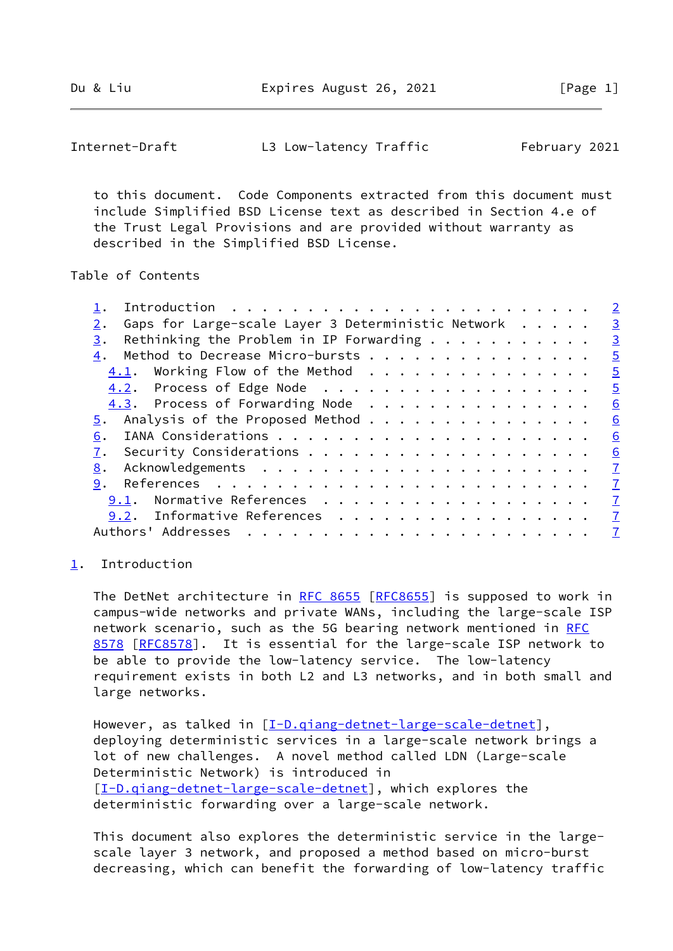Du & Liu **Expires August 26, 2021** [Page 1]

<span id="page-1-1"></span>Internet-Draft L3 Low-latency Traffic February 2021

 to this document. Code Components extracted from this document must include Simplified BSD License text as described in Section 4.e of the Trust Legal Provisions and are provided without warranty as described in the Simplified BSD License.

Table of Contents

|                                                          | $\overline{2}$          |
|----------------------------------------------------------|-------------------------|
| Gaps for Large-scale Layer 3 Deterministic Network<br>2. | $\overline{\mathbf{3}}$ |
| Rethinking the Problem in IP Forwarding $\dots$<br>3.    | $\overline{3}$          |
| Method to Decrease Micro-bursts<br>4.                    | $\overline{5}$          |
| $4.1$ . Working Flow of the Method                       | $\overline{5}$          |
| 4.2. Process of Edge Node                                | $\overline{5}$          |
| 4.3. Process of Forwarding Node                          | 6                       |
|                                                          | 6                       |
| 6.                                                       | 6                       |
| 7.                                                       | 6                       |
| 8.                                                       | $\mathbf{Z}$            |
| 9.                                                       | $\sqrt{7}$              |
| 9.1. Normative References                                | $\overline{1}$          |
| 9.2. Informative References 7                            |                         |
| Authors' Addresses                                       | $\mathbf{Z}$            |
|                                                          |                         |

## <span id="page-1-0"></span>[1](#page-1-0). Introduction

The DetNet architecture in [RFC 8655 \[RFC8655](https://datatracker.ietf.org/doc/pdf/rfc8655)] is supposed to work in campus-wide networks and private WANs, including the large-scale ISP network scenario, such as the 5G bearing network mentioned in [RFC](https://datatracker.ietf.org/doc/pdf/rfc8578) [8578](https://datatracker.ietf.org/doc/pdf/rfc8578) [\[RFC8578](https://datatracker.ietf.org/doc/pdf/rfc8578)]. It is essential for the large-scale ISP network to be able to provide the low-latency service. The low-latency requirement exists in both L2 and L3 networks, and in both small and large networks.

However, as talked in [[I-D.qiang-detnet-large-scale-detnet](#page-7-1)], deploying deterministic services in a large-scale network brings a lot of new challenges. A novel method called LDN (Large-scale Deterministic Network) is introduced in [\[I-D.qiang-detnet-large-scale-detnet](#page-7-1)], which explores the deterministic forwarding over a large-scale network.

 This document also explores the deterministic service in the large scale layer 3 network, and proposed a method based on micro-burst decreasing, which can benefit the forwarding of low-latency traffic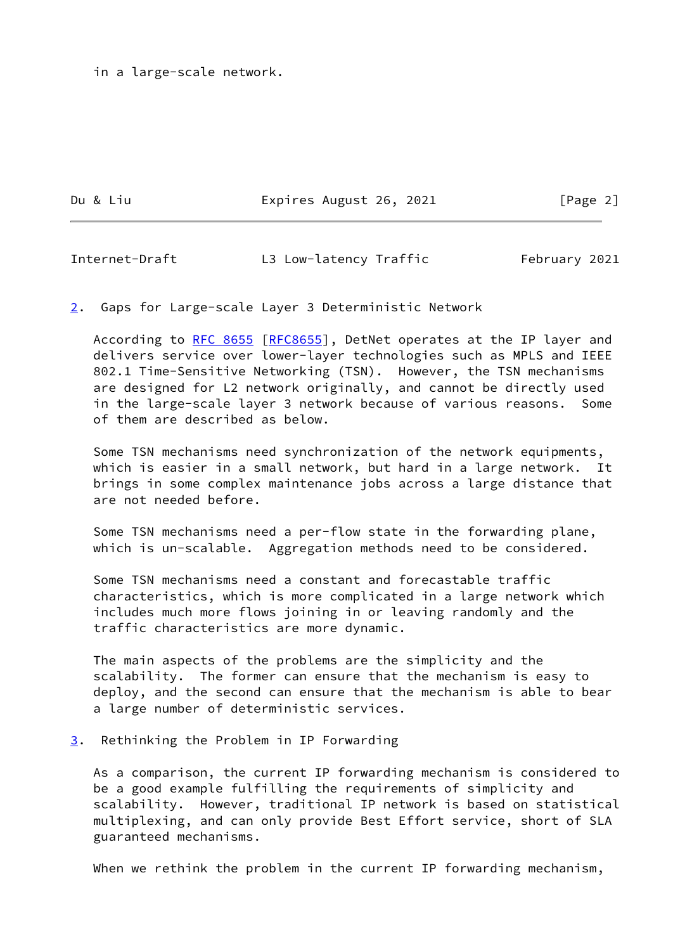in a large-scale network.

Du & Liu **Expires August 26, 2021** [Page 2]

<span id="page-2-1"></span>Internet-Draft L3 Low-latency Traffic February 2021

<span id="page-2-0"></span>[2](#page-2-0). Gaps for Large-scale Layer 3 Deterministic Network

According to [RFC 8655](https://datatracker.ietf.org/doc/pdf/rfc8655) [[RFC8655](https://datatracker.ietf.org/doc/pdf/rfc8655)], DetNet operates at the IP layer and delivers service over lower-layer technologies such as MPLS and IEEE 802.1 Time-Sensitive Networking (TSN). However, the TSN mechanisms are designed for L2 network originally, and cannot be directly used in the large-scale layer 3 network because of various reasons. Some of them are described as below.

 Some TSN mechanisms need synchronization of the network equipments, which is easier in a small network, but hard in a large network. It brings in some complex maintenance jobs across a large distance that are not needed before.

 Some TSN mechanisms need a per-flow state in the forwarding plane, which is un-scalable. Aggregation methods need to be considered.

 Some TSN mechanisms need a constant and forecastable traffic characteristics, which is more complicated in a large network which includes much more flows joining in or leaving randomly and the traffic characteristics are more dynamic.

 The main aspects of the problems are the simplicity and the scalability. The former can ensure that the mechanism is easy to deploy, and the second can ensure that the mechanism is able to bear a large number of deterministic services.

<span id="page-2-2"></span>[3](#page-2-2). Rethinking the Problem in IP Forwarding

 As a comparison, the current IP forwarding mechanism is considered to be a good example fulfilling the requirements of simplicity and scalability. However, traditional IP network is based on statistical multiplexing, and can only provide Best Effort service, short of SLA guaranteed mechanisms.

When we rethink the problem in the current IP forwarding mechanism,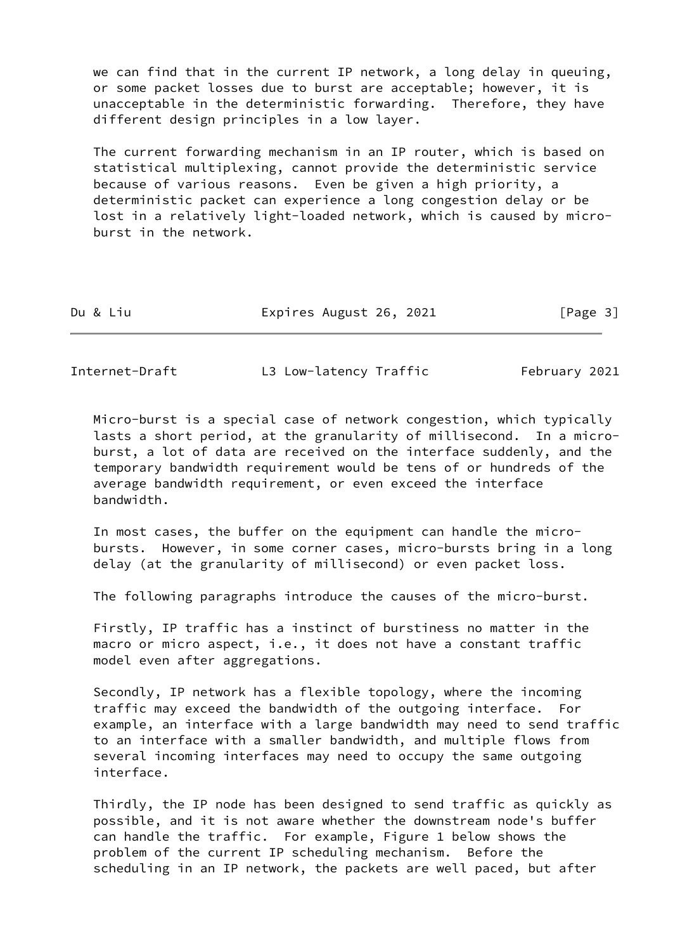we can find that in the current IP network, a long delay in queuing, or some packet losses due to burst are acceptable; however, it is unacceptable in the deterministic forwarding. Therefore, they have different design principles in a low layer.

 The current forwarding mechanism in an IP router, which is based on statistical multiplexing, cannot provide the deterministic service because of various reasons. Even be given a high priority, a deterministic packet can experience a long congestion delay or be lost in a relatively light-loaded network, which is caused by micro burst in the network.

| Expires August 26, 2021<br>Du & Liu | [Page 3] |
|-------------------------------------|----------|
|-------------------------------------|----------|

Internet-Draft L3 Low-latency Traffic February 2021

 Micro-burst is a special case of network congestion, which typically lasts a short period, at the granularity of millisecond. In a micro burst, a lot of data are received on the interface suddenly, and the temporary bandwidth requirement would be tens of or hundreds of the average bandwidth requirement, or even exceed the interface bandwidth.

 In most cases, the buffer on the equipment can handle the micro bursts. However, in some corner cases, micro-bursts bring in a long delay (at the granularity of millisecond) or even packet loss.

The following paragraphs introduce the causes of the micro-burst.

 Firstly, IP traffic has a instinct of burstiness no matter in the macro or micro aspect, i.e., it does not have a constant traffic model even after aggregations.

 Secondly, IP network has a flexible topology, where the incoming traffic may exceed the bandwidth of the outgoing interface. For example, an interface with a large bandwidth may need to send traffic to an interface with a smaller bandwidth, and multiple flows from several incoming interfaces may need to occupy the same outgoing interface.

 Thirdly, the IP node has been designed to send traffic as quickly as possible, and it is not aware whether the downstream node's buffer can handle the traffic. For example, Figure 1 below shows the problem of the current IP scheduling mechanism. Before the scheduling in an IP network, the packets are well paced, but after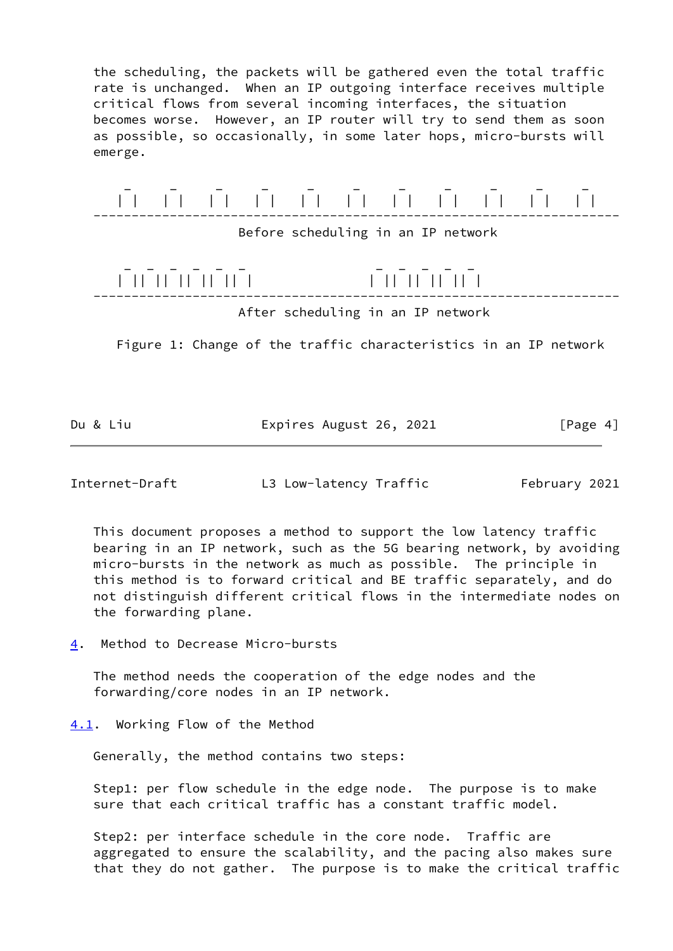the scheduling, the packets will be gathered even the total traffic rate is unchanged. When an IP outgoing interface receives multiple critical flows from several incoming interfaces, the situation becomes worse. However, an IP router will try to send them as soon as possible, so occasionally, in some later hops, micro-bursts will emerge.



Figure 1: Change of the traffic characteristics in an IP network

Du & Liu **Expires August 26, 2021** [Page 4]

<span id="page-4-1"></span>Internet-Draft L3 Low-latency Traffic February 2021

 This document proposes a method to support the low latency traffic bearing in an IP network, such as the 5G bearing network, by avoiding micro-bursts in the network as much as possible. The principle in this method is to forward critical and BE traffic separately, and do not distinguish different critical flows in the intermediate nodes on the forwarding plane.

<span id="page-4-0"></span>[4](#page-4-0). Method to Decrease Micro-bursts

 The method needs the cooperation of the edge nodes and the forwarding/core nodes in an IP network.

<span id="page-4-2"></span>[4.1](#page-4-2). Working Flow of the Method

Generally, the method contains two steps:

 Step1: per flow schedule in the edge node. The purpose is to make sure that each critical traffic has a constant traffic model.

 Step2: per interface schedule in the core node. Traffic are aggregated to ensure the scalability, and the pacing also makes sure that they do not gather. The purpose is to make the critical traffic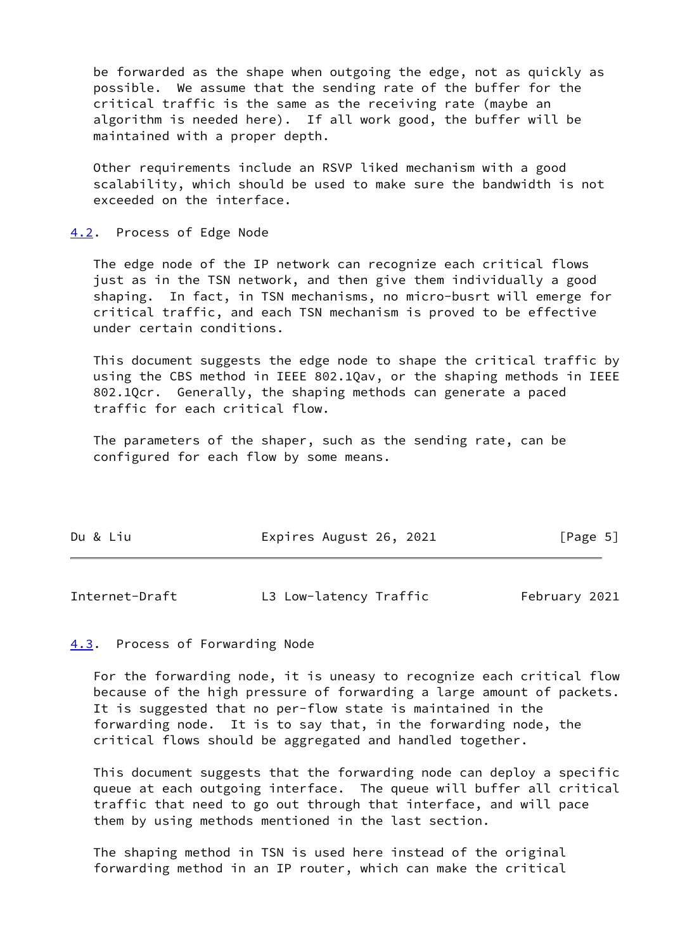be forwarded as the shape when outgoing the edge, not as quickly as possible. We assume that the sending rate of the buffer for the critical traffic is the same as the receiving rate (maybe an algorithm is needed here). If all work good, the buffer will be maintained with a proper depth.

 Other requirements include an RSVP liked mechanism with a good scalability, which should be used to make sure the bandwidth is not exceeded on the interface.

<span id="page-5-0"></span>[4.2](#page-5-0). Process of Edge Node

 The edge node of the IP network can recognize each critical flows just as in the TSN network, and then give them individually a good shaping. In fact, in TSN mechanisms, no micro-busrt will emerge for critical traffic, and each TSN mechanism is proved to be effective under certain conditions.

 This document suggests the edge node to shape the critical traffic by using the CBS method in IEEE 802.1Qav, or the shaping methods in IEEE 802.1Qcr. Generally, the shaping methods can generate a paced traffic for each critical flow.

 The parameters of the shaper, such as the sending rate, can be configured for each flow by some means.

| Du & Liu<br>Expires August 26, 2021 | [Page 5] |
|-------------------------------------|----------|
|-------------------------------------|----------|

<span id="page-5-2"></span>Internet-Draft L3 Low-latency Traffic February 2021

## <span id="page-5-1"></span>[4.3](#page-5-1). Process of Forwarding Node

 For the forwarding node, it is uneasy to recognize each critical flow because of the high pressure of forwarding a large amount of packets. It is suggested that no per-flow state is maintained in the forwarding node. It is to say that, in the forwarding node, the critical flows should be aggregated and handled together.

 This document suggests that the forwarding node can deploy a specific queue at each outgoing interface. The queue will buffer all critical traffic that need to go out through that interface, and will pace them by using methods mentioned in the last section.

 The shaping method in TSN is used here instead of the original forwarding method in an IP router, which can make the critical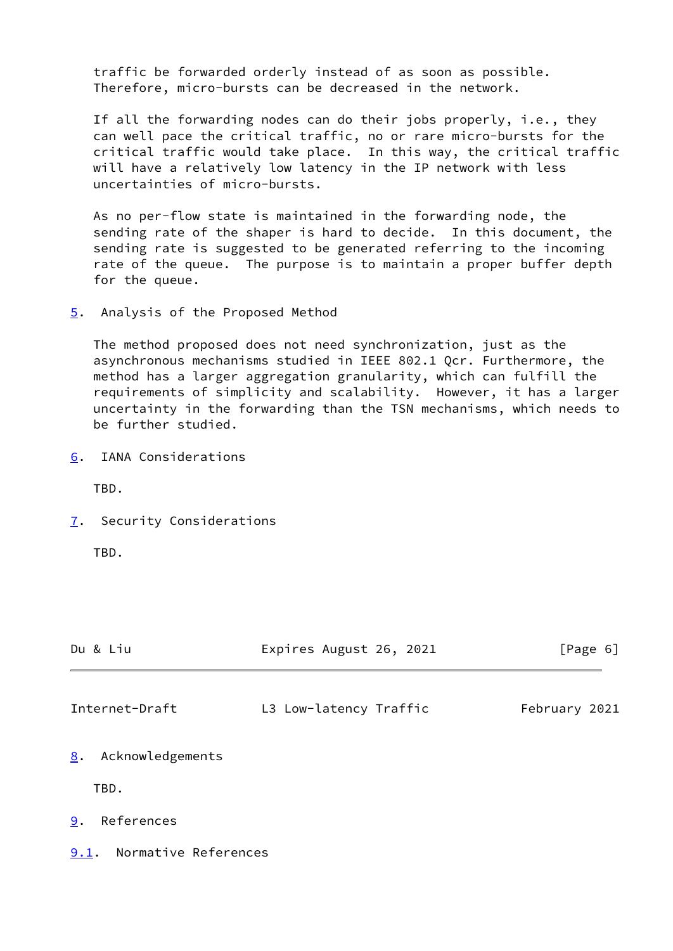traffic be forwarded orderly instead of as soon as possible. Therefore, micro-bursts can be decreased in the network.

 If all the forwarding nodes can do their jobs properly, i.e., they can well pace the critical traffic, no or rare micro-bursts for the critical traffic would take place. In this way, the critical traffic will have a relatively low latency in the IP network with less uncertainties of micro-bursts.

 As no per-flow state is maintained in the forwarding node, the sending rate of the shaper is hard to decide. In this document, the sending rate is suggested to be generated referring to the incoming rate of the queue. The purpose is to maintain a proper buffer depth for the queue.

<span id="page-6-0"></span>[5](#page-6-0). Analysis of the Proposed Method

 The method proposed does not need synchronization, just as the asynchronous mechanisms studied in IEEE 802.1 Qcr. Furthermore, the method has a larger aggregation granularity, which can fulfill the requirements of simplicity and scalability. However, it has a larger uncertainty in the forwarding than the TSN mechanisms, which needs to be further studied.

<span id="page-6-1"></span>[6](#page-6-1). IANA Considerations

TBD.

<span id="page-6-2"></span>[7](#page-6-2). Security Considerations

TBD.

<span id="page-6-4"></span>

| Du & Liu               | Expires August 26, 2021 | [Page 6]      |  |
|------------------------|-------------------------|---------------|--|
| Internet-Draft         | L3 Low-latency Traffic  | February 2021 |  |
| Acknowledgements<br>8. |                         |               |  |
| TBD.                   |                         |               |  |
| References<br>9.       |                         |               |  |

<span id="page-6-6"></span><span id="page-6-5"></span><span id="page-6-3"></span>[9.1](#page-6-6). Normative References